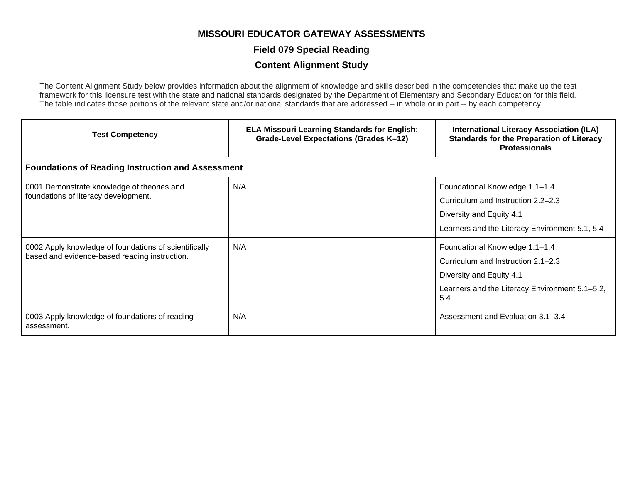#### **Field 079 Special Reading**

#### **Content Alignment Study**

The Content Alignment Study below provides information about the alignment of knowledge and skills described in the competencies that make up the test framework for this licensure test with the state and national standards designated by the Department of Elementary and Secondary Education for this field. The table indicates those portions of the relevant state and/or national standards that are addressed -- in whole or in part -- by each competency.

| <b>Test Competency</b>                                                                                 | <b>ELA Missouri Learning Standards for English:</b><br>Grade-Level Expectations (Grades K-12) | <b>International Literacy Association (ILA)</b><br><b>Standards for the Preparation of Literacy</b><br><b>Professionals</b>                               |  |
|--------------------------------------------------------------------------------------------------------|-----------------------------------------------------------------------------------------------|-----------------------------------------------------------------------------------------------------------------------------------------------------------|--|
| <b>Foundations of Reading Instruction and Assessment</b>                                               |                                                                                               |                                                                                                                                                           |  |
| 0001 Demonstrate knowledge of theories and<br>foundations of literacy development.                     | N/A                                                                                           | Foundational Knowledge 1.1-1.4<br>Curriculum and Instruction 2.2–2.3<br>Diversity and Equity 4.1<br>Learners and the Literacy Environment 5.1, 5.4        |  |
| 0002 Apply knowledge of foundations of scientifically<br>based and evidence-based reading instruction. | N/A                                                                                           | Foundational Knowledge 1.1-1.4<br>Curriculum and Instruction 2.1–2.3<br>Diversity and Equity 4.1<br>Learners and the Literacy Environment 5.1-5.2,<br>5.4 |  |
| 0003 Apply knowledge of foundations of reading<br>assessment.                                          | N/A                                                                                           | Assessment and Evaluation 3.1-3.4                                                                                                                         |  |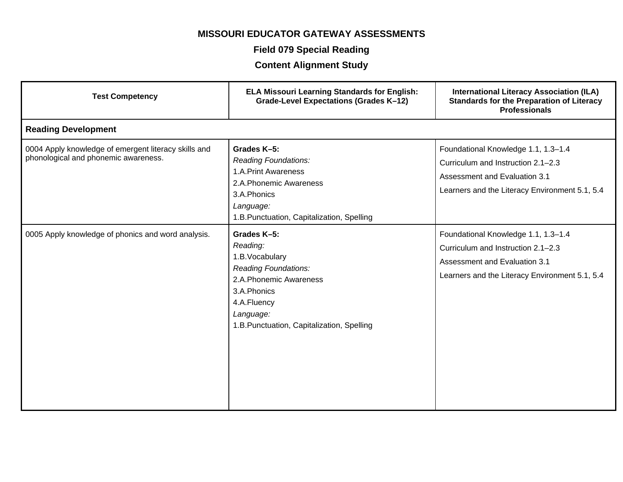### **Field 079 Special Reading**

| <b>Test Competency</b>                                                                       | <b>ELA Missouri Learning Standards for English:</b><br><b>Grade-Level Expectations (Grades K-12)</b>                                                                                        | <b>International Literacy Association (ILA)</b><br><b>Standards for the Preparation of Literacy</b><br><b>Professionals</b>                                         |
|----------------------------------------------------------------------------------------------|---------------------------------------------------------------------------------------------------------------------------------------------------------------------------------------------|---------------------------------------------------------------------------------------------------------------------------------------------------------------------|
| <b>Reading Development</b>                                                                   |                                                                                                                                                                                             |                                                                                                                                                                     |
| 0004 Apply knowledge of emergent literacy skills and<br>phonological and phonemic awareness. | Grades K-5:<br><b>Reading Foundations:</b><br>1.A.Print Awareness<br>2.A.Phonemic Awareness<br>3.A.Phonics<br>Language:<br>1.B.Punctuation, Capitalization, Spelling                        | Foundational Knowledge 1.1, 1.3-1.4<br>Curriculum and Instruction 2.1-2.3<br><b>Assessment and Evaluation 3.1</b><br>Learners and the Literacy Environment 5.1, 5.4 |
| 0005 Apply knowledge of phonics and word analysis.                                           | Grades K-5:<br>Reading:<br>1.B. Vocabulary<br><b>Reading Foundations:</b><br>2.A.Phonemic Awareness<br>3.A.Phonics<br>4.A.Fluency<br>Language:<br>1.B.Punctuation, Capitalization, Spelling | Foundational Knowledge 1.1, 1.3-1.4<br>Curriculum and Instruction 2.1-2.3<br><b>Assessment and Evaluation 3.1</b><br>Learners and the Literacy Environment 5.1, 5.4 |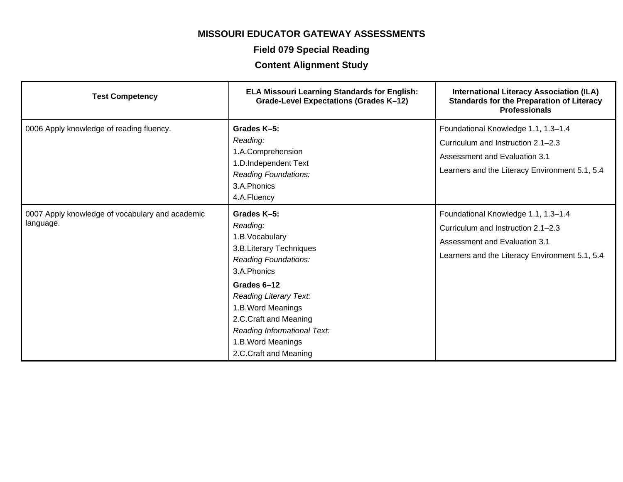### **Field 079 Special Reading**

| <b>Test Competency</b>                                       | <b>ELA Missouri Learning Standards for English:</b><br><b>Grade-Level Expectations (Grades K-12)</b>                                                              | <b>International Literacy Association (ILA)</b><br><b>Standards for the Preparation of Literacy</b><br><b>Professionals</b>                                  |
|--------------------------------------------------------------|-------------------------------------------------------------------------------------------------------------------------------------------------------------------|--------------------------------------------------------------------------------------------------------------------------------------------------------------|
| 0006 Apply knowledge of reading fluency.                     | Grades K-5:<br>Reading:<br>1.A.Comprehension<br>1.D.Independent Text<br>Reading Foundations:<br>3.A.Phonics<br>4.A.Fluency                                        | Foundational Knowledge 1.1, 1.3-1.4<br>Curriculum and Instruction 2.1-2.3<br>Assessment and Evaluation 3.1<br>Learners and the Literacy Environment 5.1, 5.4 |
| 0007 Apply knowledge of vocabulary and academic<br>language. | Grades K-5:<br>Reading:<br>1.B. Vocabulary<br>3.B.Literary Techniques<br><b>Reading Foundations:</b><br>3.A.Phonics                                               | Foundational Knowledge 1.1, 1.3-1.4<br>Curriculum and Instruction 2.1-2.3<br>Assessment and Evaluation 3.1<br>Learners and the Literacy Environment 5.1, 5.4 |
|                                                              | Grades 6-12<br>Reading Literary Text:<br>1.B.Word Meanings<br>2.C.Craft and Meaning<br>Reading Informational Text:<br>1.B. Word Meanings<br>2.C.Craft and Meaning |                                                                                                                                                              |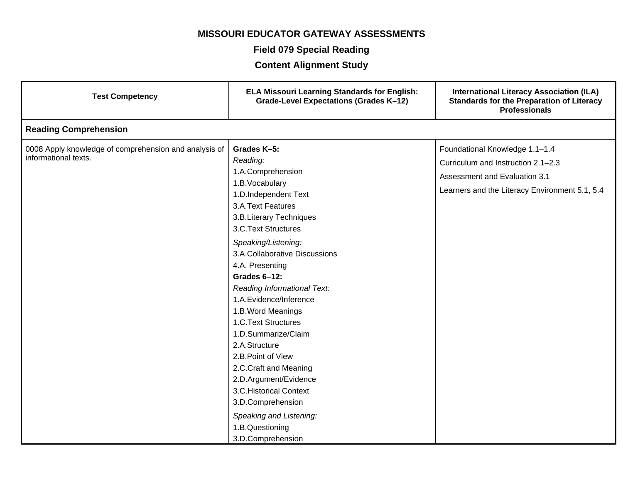### **Field 079 Special Reading**

| <b>Test Competency</b>                                                        | <b>ELA Missouri Learning Standards for English:</b><br>Grade-Level Expectations (Grades K-12)                                                                                                                                                                                                                                                                                                                                                                                                                                                                                                     | <b>International Literacy Association (ILA)</b><br><b>Standards for the Preparation of Literacy</b><br><b>Professionals</b>                             |
|-------------------------------------------------------------------------------|---------------------------------------------------------------------------------------------------------------------------------------------------------------------------------------------------------------------------------------------------------------------------------------------------------------------------------------------------------------------------------------------------------------------------------------------------------------------------------------------------------------------------------------------------------------------------------------------------|---------------------------------------------------------------------------------------------------------------------------------------------------------|
| <b>Reading Comprehension</b>                                                  |                                                                                                                                                                                                                                                                                                                                                                                                                                                                                                                                                                                                   |                                                                                                                                                         |
| 0008 Apply knowledge of comprehension and analysis of<br>informational texts. | Grades K-5:<br>Reading:<br>1.A.Comprehension<br>1.B.Vocabulary<br>1.D.Independent Text<br>3.A.Text Features<br>3.B.Literary Techniques<br>3.C.Text Structures<br>Speaking/Listening:<br>3.A.Collaborative Discussions<br>4.A. Presenting<br>Grades 6-12:<br>Reading Informational Text:<br>1.A.Evidence/Inference<br>1.B. Word Meanings<br>1.C.Text Structures<br>1.D.Summarize/Claim<br>2.A.Structure<br>2.B. Point of View<br>2.C.Craft and Meaning<br>2.D.Argument/Evidence<br>3.C. Historical Context<br>3.D.Comprehension<br>Speaking and Listening:<br>1.B.Questioning<br>3.D.Comprehension | Foundational Knowledge 1.1-1.4<br>Curriculum and Instruction 2.1-2.3<br>Assessment and Evaluation 3.1<br>Learners and the Literacy Environment 5.1, 5.4 |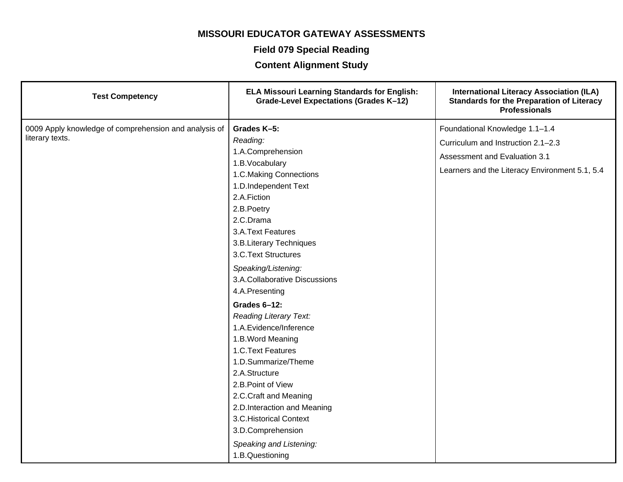### **Field 079 Special Reading**

| <b>Test Competency</b>                                                   | <b>ELA Missouri Learning Standards for English:</b><br>Grade-Level Expectations (Grades K-12)                                                                                                                                                                                                                                                           | <b>International Literacy Association (ILA)</b><br><b>Standards for the Preparation of Literacy</b><br><b>Professionals</b>                             |
|--------------------------------------------------------------------------|---------------------------------------------------------------------------------------------------------------------------------------------------------------------------------------------------------------------------------------------------------------------------------------------------------------------------------------------------------|---------------------------------------------------------------------------------------------------------------------------------------------------------|
| 0009 Apply knowledge of comprehension and analysis of<br>literary texts. | Grades K-5:<br>Reading:<br>1.A.Comprehension<br>1.B. Vocabulary<br>1.C.Making Connections<br>1.D.Independent Text<br>2.A.Fiction<br>2.B.Poetry<br>2.C.Drama<br>3.A.Text Features<br>3.B.Literary Techniques<br>3.C.Text Structures<br>Speaking/Listening:<br>3.A.Collaborative Discussions                                                              | Foundational Knowledge 1.1-1.4<br>Curriculum and Instruction 2.1-2.3<br>Assessment and Evaluation 3.1<br>Learners and the Literacy Environment 5.1, 5.4 |
|                                                                          | 4.A.Presenting<br>Grades 6-12:<br><b>Reading Literary Text:</b><br>1.A.Evidence/Inference<br>1.B. Word Meaning<br>1.C.Text Features<br>1.D.Summarize/Theme<br>2.A.Structure<br>2.B. Point of View<br>2.C.Craft and Meaning<br>2.D.Interaction and Meaning<br>3.C. Historical Context<br>3.D.Comprehension<br>Speaking and Listening:<br>1.B.Questioning |                                                                                                                                                         |